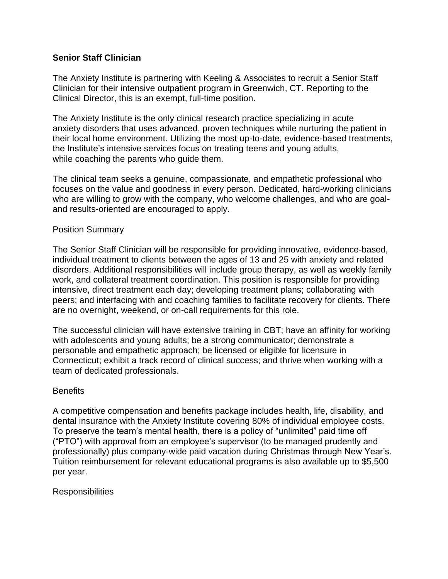# **Senior Staff Clinician**

The Anxiety Institute is partnering with Keeling & Associates to recruit a Senior Staff Clinician for their intensive outpatient program in Greenwich, CT. Reporting to the Clinical Director, this is an exempt, full-time position.

The Anxiety Institute is the only clinical research practice specializing in acute anxiety disorders that uses advanced, proven techniques while nurturing the patient in their local home environment. Utilizing the most up-to-date, evidence-based treatments, the Institute's intensive services focus on treating teens and young adults, while coaching the parents who guide them.

The clinical team seeks a genuine, compassionate, and empathetic professional who focuses on the value and goodness in every person. Dedicated, hard-working clinicians who are willing to grow with the company, who welcome challenges, and who are goaland results-oriented are encouraged to apply.

### Position Summary

The Senior Staff Clinician will be responsible for providing innovative, evidence-based, individual treatment to clients between the ages of 13 and 25 with anxiety and related disorders. Additional responsibilities will include group therapy, as well as weekly family work, and collateral treatment coordination. This position is responsible for providing intensive, direct treatment each day; developing treatment plans; collaborating with peers; and interfacing with and coaching families to facilitate recovery for clients. There are no overnight, weekend, or on-call requirements for this role.

The successful clinician will have extensive training in CBT; have an affinity for working with adolescents and young adults; be a strong communicator; demonstrate a personable and empathetic approach; be licensed or eligible for licensure in Connecticut; exhibit a track record of clinical success; and thrive when working with a team of dedicated professionals.

#### **Benefits**

A competitive compensation and benefits package includes health, life, disability, and dental insurance with the Anxiety Institute covering 80% of individual employee costs. To preserve the team's mental health, there is a policy of "unlimited" paid time off ("PTO") with approval from an employee's supervisor (to be managed prudently and professionally) plus company-wide paid vacation during Christmas through New Year's. Tuition reimbursement for relevant educational programs is also available up to \$5,500 per year.

#### **Responsibilities**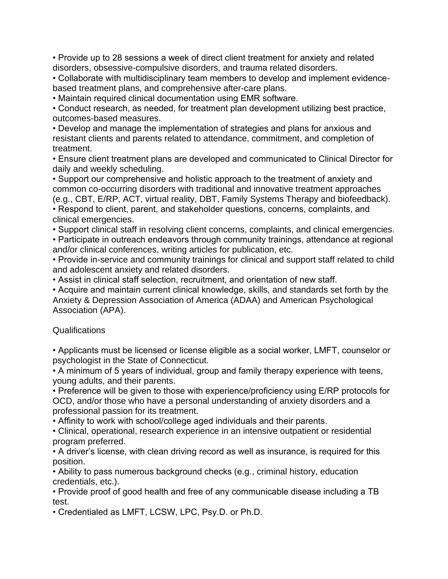• Provide up to 28 sessions a week of direct client treatment for anxiety and related disorders, obsessive-compulsive disorders, and trauma related disorders.

• Collaborate with multidisciplinary team members to develop and implement evidencebased treatment plans, and comprehensive after-care plans.

• Maintain required clinical documentation using EMR software.

• Conduct research, as needed, for treatment plan development utilizing best practice, outcomes-based measures.

• Develop and manage the implementation of strategies and plans for anxious and resistant clients and parents related to attendance, commitment, and completion of treatment.

• Ensure client treatment plans are developed and communicated to Clinical Director for daily and weekly scheduling.

• Support our comprehensive and holistic approach to the treatment of anxiety and common co-occurring disorders with traditional and innovative treatment approaches (e.g., CBT, E/RP, ACT, virtual reality, DBT, Family Systems Therapy and biofeedback).

• Respond to client, parent, and stakeholder questions, concerns, complaints, and clinical emergencies.

• Support clinical staff in resolving client concerns, complaints, and clinical emergencies.

• Participate in outreach endeavors through community trainings, attendance at regional and/or clinical conferences, writing articles for publication, etc.

• Provide in-service and community trainings for clinical and support staff related to child and adolescent anxiety and related disorders.

• Assist in clinical staff selection, recruitment, and orientation of new staff.

• Acquire and maintain current clinical knowledge, skills, and standards set forth by the Anxiety & Depression Association of America (ADAA) and American Psychological Association (APA).

# Qualifications

• Applicants must be licensed or license eligible as a social worker, LMFT, counselor or psychologist in the State of Connecticut.

• A minimum of 5 years of individual, group and family therapy experience with teens, young adults, and their parents.

• Preference will be given to those with experience/proficiency using E/RP protocols for OCD, and/or those who have a personal understanding of anxiety disorders and a professional passion for its treatment.

• Affinity to work with school/college aged individuals and their parents.

• Clinical, operational, research experience in an intensive outpatient or residential program preferred.

• A driver's license, with clean driving record as well as insurance, is required for this position.

• Ability to pass numerous background checks (e.g., criminal history, education credentials, etc.).

• Provide proof of good health and free of any communicable disease including a TB test.

• Credentialed as LMFT, LCSW, LPC, Psy.D. or Ph.D.